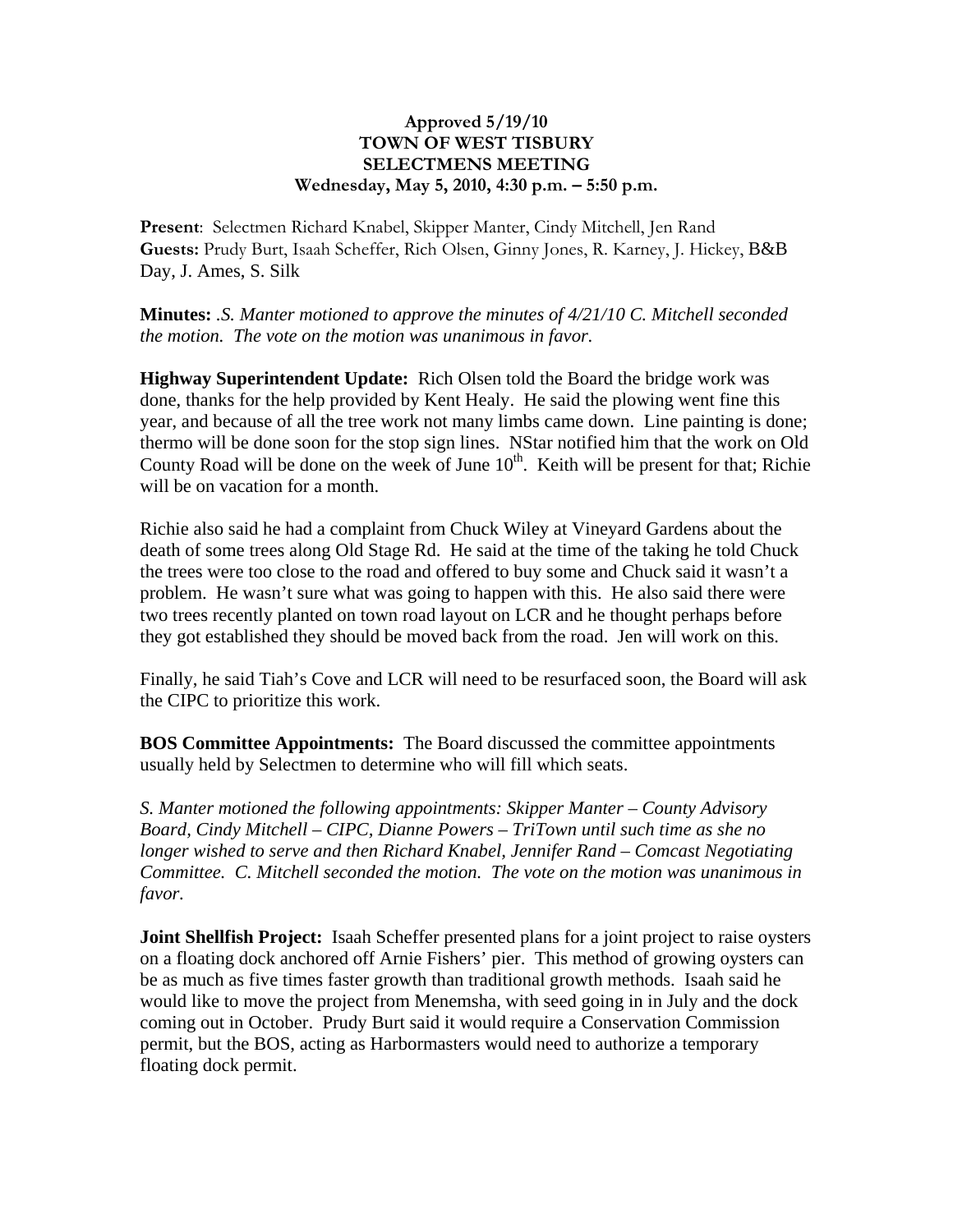## **Approved 5/19/10 TOWN OF WEST TISBURY SELECTMENS MEETING Wednesday, May 5, 2010, 4:30 p.m. – 5:50 p.m.**

**Present**: Selectmen Richard Knabel, Skipper Manter, Cindy Mitchell, Jen Rand **Guests:** Prudy Burt, Isaah Scheffer, Rich Olsen, Ginny Jones, R. Karney, J. Hickey, B&B Day, J. Ames, S. Silk

**Minutes:** *.S. Manter motioned to approve the minutes of 4/21/10 C. Mitchell seconded the motion. The vote on the motion was unanimous in favor.*

**Highway Superintendent Update:** Rich Olsen told the Board the bridge work was done, thanks for the help provided by Kent Healy. He said the plowing went fine this year, and because of all the tree work not many limbs came down. Line painting is done; thermo will be done soon for the stop sign lines. NStar notified him that the work on Old County Road will be done on the week of June  $10<sup>th</sup>$ . Keith will be present for that; Richie will be on vacation for a month.

Richie also said he had a complaint from Chuck Wiley at Vineyard Gardens about the death of some trees along Old Stage Rd. He said at the time of the taking he told Chuck the trees were too close to the road and offered to buy some and Chuck said it wasn't a problem. He wasn't sure what was going to happen with this. He also said there were two trees recently planted on town road layout on LCR and he thought perhaps before they got established they should be moved back from the road. Jen will work on this.

Finally, he said Tiah's Cove and LCR will need to be resurfaced soon, the Board will ask the CIPC to prioritize this work.

**BOS Committee Appointments:** The Board discussed the committee appointments usually held by Selectmen to determine who will fill which seats.

*S. Manter motioned the following appointments: Skipper Manter – County Advisory Board, Cindy Mitchell – CIPC, Dianne Powers – TriTown until such time as she no longer wished to serve and then Richard Knabel, Jennifer Rand – Comcast Negotiating Committee. C. Mitchell seconded the motion. The vote on the motion was unanimous in favor.*

**Joint Shellfish Project:** Isaah Scheffer presented plans for a joint project to raise oysters on a floating dock anchored off Arnie Fishers' pier. This method of growing oysters can be as much as five times faster growth than traditional growth methods. Isaah said he would like to move the project from Menemsha, with seed going in in July and the dock coming out in October. Prudy Burt said it would require a Conservation Commission permit, but the BOS, acting as Harbormasters would need to authorize a temporary floating dock permit.